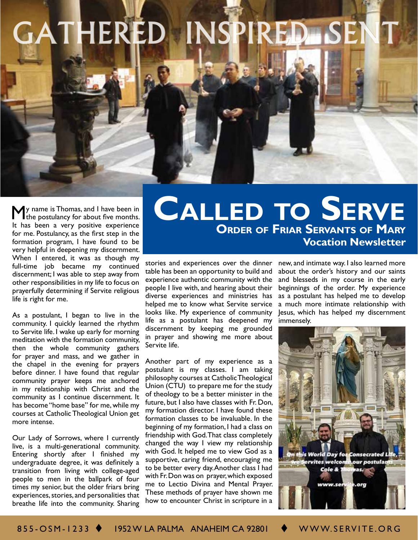# GATHERED INSPIRED SEN

If y name is Thomas, and I have been in<br>the postulancy for about five months. It has been a very positive experience for me. Postulancy, as the first step in the formation program, I have found to be very helpful in deepening my discernment. When I entered, it was as though my full-time job became my continued discernment; I was able to step away from other responsibilities in my life to focus on prayerfully determining if Servite religious life is right for me.

As a postulant, I began to live in the community. I quickly learned the rhythm to Servite life. I wake up early for morning meditation with the formation community, then the whole community gathers for prayer and mass, and we gather in the chapel in the evening for prayers before dinner. I have found that regular community prayer keeps me anchored in my relationship with Christ and the community as I continue discernment. It has become "home base" for me, while my courses at Catholic Theological Union get more intense.

Our Lady of Sorrows, where I currently live, is a multi-generational community. Entering shortly after I finished my undergraduate degree, it was definitely a transition from living with college-aged people to men in the ballpark of four times my senior, but the older friars bring experiences, stories, and personalities that breathe life into the community. Sharing

## **Order of Friar Servants of Mary Vocation Newsletter CALLED TO SERVE**

stories and experiences over the dinner table has been an opportunity to build and experience authentic community with the people I live with, and hearing about their diverse experiences and ministries has helped me to know what Servite service looks like. My experience of community life as a postulant has deepened my discernment by keeping me grounded in prayer and showing me more about Servite life.

Another part of my experience as a postulant is my classes. I am taking philosophy courses at Catholic Theological Union (CTU) to prepare me for the study of theology to be a better minister in the future, but I also have classes with Fr. Don, my formation director. I have found these formation classes to be invaluable. In the beginning of my formation, I had a class on friendship with God. That class completely changed the way I view my relationship with God. It helped me to view God as a supportive, caring friend, encouraging me to be better every day. Another class I had with Fr. Don was on prayer, which exposed me to Lectio Divina and Mental Prayer. These methods of prayer have shown me how to encounter Christ in scripture in a

new, and intimate way. I also learned more about the order's history and our saints and blesseds in my course in the early beginnings of the order. My experience as a postulant has helped me to develop a much more intimate relationship with Jesus, which has helped my discernment immensely.